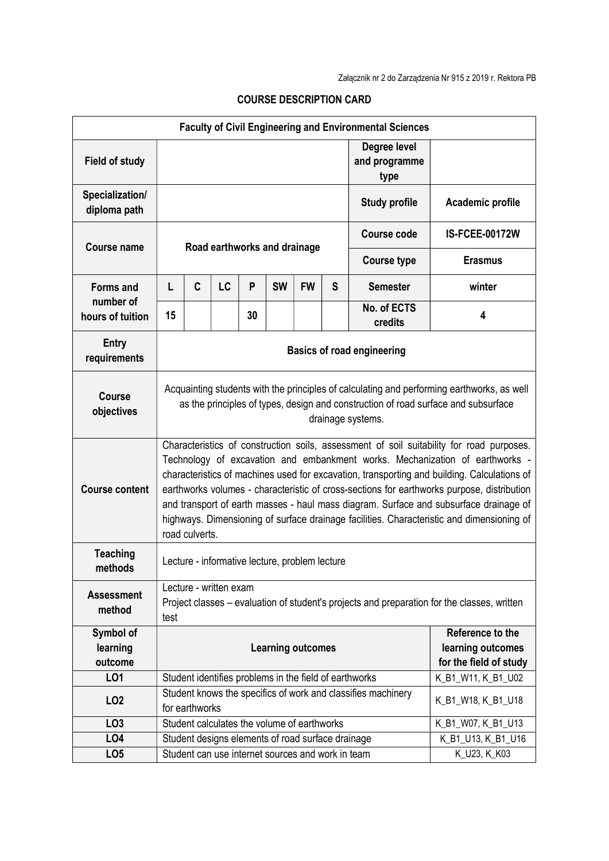| <b>Faculty of Civil Engineering and Environmental Sciences</b> |                                                                                                                                                                                                                                                                                                                                                                                                                                                                                                                                                                               |                              |                                                   |                    |                    |           |                                       |                                                        |                                       |  |
|----------------------------------------------------------------|-------------------------------------------------------------------------------------------------------------------------------------------------------------------------------------------------------------------------------------------------------------------------------------------------------------------------------------------------------------------------------------------------------------------------------------------------------------------------------------------------------------------------------------------------------------------------------|------------------------------|---------------------------------------------------|--------------------|--------------------|-----------|---------------------------------------|--------------------------------------------------------|---------------------------------------|--|
| <b>Field of study</b>                                          |                                                                                                                                                                                                                                                                                                                                                                                                                                                                                                                                                                               |                              |                                                   |                    |                    |           | Degree level<br>and programme<br>type |                                                        |                                       |  |
| Specialization/<br>diploma path                                |                                                                                                                                                                                                                                                                                                                                                                                                                                                                                                                                                                               |                              |                                                   |                    |                    |           | <b>Study profile</b>                  | Academic profile                                       |                                       |  |
| <b>Course name</b>                                             |                                                                                                                                                                                                                                                                                                                                                                                                                                                                                                                                                                               |                              |                                                   |                    |                    |           |                                       | <b>Course code</b>                                     | <b>IS-FCEE-00172W</b>                 |  |
|                                                                |                                                                                                                                                                                                                                                                                                                                                                                                                                                                                                                                                                               | Road earthworks and drainage |                                                   |                    |                    |           |                                       | <b>Course type</b>                                     | <b>Erasmus</b>                        |  |
| <b>Forms and</b><br>number of<br>hours of tuition              | L                                                                                                                                                                                                                                                                                                                                                                                                                                                                                                                                                                             | C                            | LC                                                | P                  | <b>SW</b>          | <b>FW</b> | S                                     | <b>Semester</b>                                        | winter                                |  |
|                                                                | 15                                                                                                                                                                                                                                                                                                                                                                                                                                                                                                                                                                            |                              |                                                   | 30                 |                    |           |                                       | No. of ECTS<br>credits                                 | 4                                     |  |
| <b>Entry</b><br>requirements                                   | <b>Basics of road engineering</b>                                                                                                                                                                                                                                                                                                                                                                                                                                                                                                                                             |                              |                                                   |                    |                    |           |                                       |                                                        |                                       |  |
| <b>Course</b><br>objectives                                    | Acquainting students with the principles of calculating and performing earthworks, as well<br>as the principles of types, design and construction of road surface and subsurface<br>drainage systems.                                                                                                                                                                                                                                                                                                                                                                         |                              |                                                   |                    |                    |           |                                       |                                                        |                                       |  |
| <b>Course content</b>                                          | Characteristics of construction soils, assessment of soil suitability for road purposes.<br>Technology of excavation and embankment works. Mechanization of earthworks -<br>characteristics of machines used for excavation, transporting and building. Calculations of<br>earthworks volumes - characteristic of cross-sections for earthworks purpose, distribution<br>and transport of earth masses - haul mass diagram. Surface and subsurface drainage of<br>highways. Dimensioning of surface drainage facilities. Characteristic and dimensioning of<br>road culverts. |                              |                                                   |                    |                    |           |                                       |                                                        |                                       |  |
| <b>Teaching</b><br>methods                                     | Lecture - informative lecture, problem lecture                                                                                                                                                                                                                                                                                                                                                                                                                                                                                                                                |                              |                                                   |                    |                    |           |                                       |                                                        |                                       |  |
| <b>Assessment</b><br>method                                    | Lecture - written exam<br>Project classes – evaluation of student's projects and preparation for the classes, written<br>test                                                                                                                                                                                                                                                                                                                                                                                                                                                 |                              |                                                   |                    |                    |           |                                       |                                                        |                                       |  |
| Symbol of<br>learning                                          |                                                                                                                                                                                                                                                                                                                                                                                                                                                                                                                                                                               |                              |                                                   |                    |                    |           |                                       |                                                        | Reference to the<br>learning outcomes |  |
| outcome                                                        | <b>Learning outcomes</b>                                                                                                                                                                                                                                                                                                                                                                                                                                                                                                                                                      |                              |                                                   |                    |                    |           |                                       | for the field of study                                 |                                       |  |
| LO1                                                            |                                                                                                                                                                                                                                                                                                                                                                                                                                                                                                                                                                               |                              |                                                   |                    |                    |           |                                       | Student identifies problems in the field of earthworks | K_B1_W11, K_B1_U02                    |  |
| LO <sub>2</sub>                                                | Student knows the specifics of work and classifies machinery<br>for earthworks                                                                                                                                                                                                                                                                                                                                                                                                                                                                                                |                              |                                                   |                    |                    |           | K_B1_W18, K_B1_U18                    |                                                        |                                       |  |
| LO <sub>3</sub>                                                | Student calculates the volume of earthworks                                                                                                                                                                                                                                                                                                                                                                                                                                                                                                                                   |                              |                                                   |                    | K_B1_W07, K_B1_U13 |           |                                       |                                                        |                                       |  |
| LO <sub>4</sub>                                                | Student designs elements of road surface drainage                                                                                                                                                                                                                                                                                                                                                                                                                                                                                                                             |                              |                                                   | K_B1_U13, K_B1_U16 |                    |           |                                       |                                                        |                                       |  |
| LO <sub>5</sub>                                                |                                                                                                                                                                                                                                                                                                                                                                                                                                                                                                                                                                               |                              | Student can use internet sources and work in team |                    |                    |           |                                       | K_U23, K_K03                                           |                                       |  |

## COURSE DESCRIPTION CARD